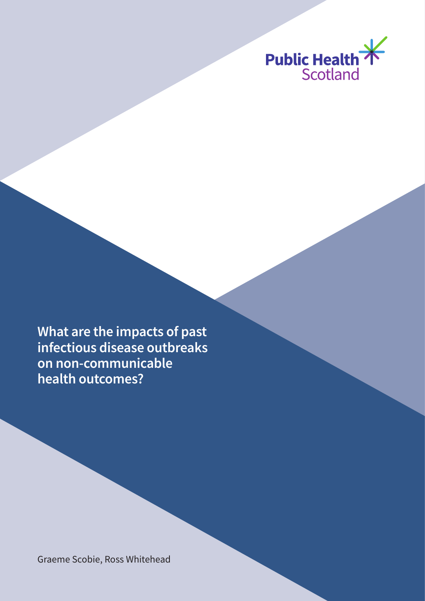

**What are the impacts of past infectious disease outbreaks on non-communicable health outcomes?** 

Graeme Scobie, Ross Whitehead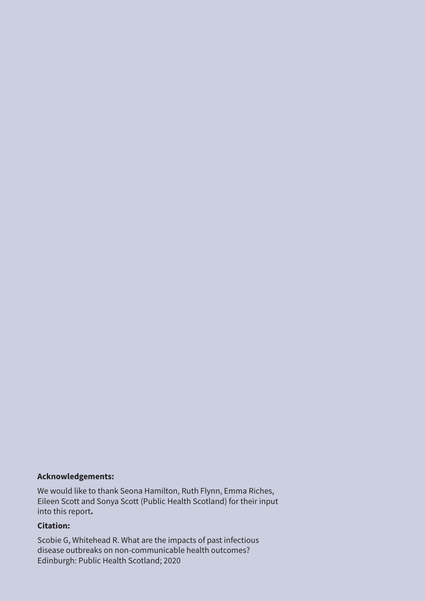#### **Acknowledgements:**

We would like to thank Seona Hamilton, Ruth Flynn, Emma Riches, Eileen Scott and Sonya Scott (Public Health Scotland) for their input into this report**.**

#### **Citation:**

Scobie G, Whitehead R. What are the impacts of past infectious disease outbreaks on non-communicable health outcomes? Edinburgh: Public Health Scotland; 2020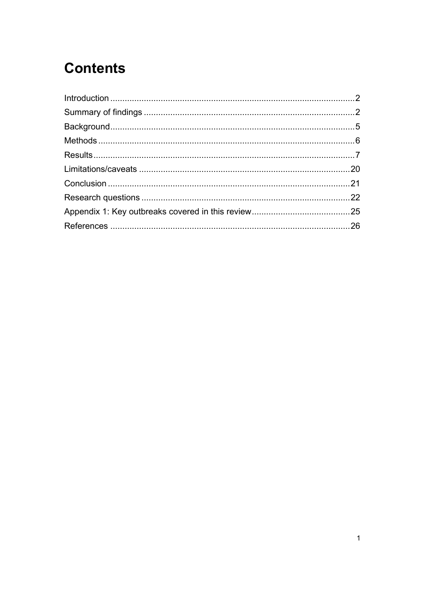# **Contents**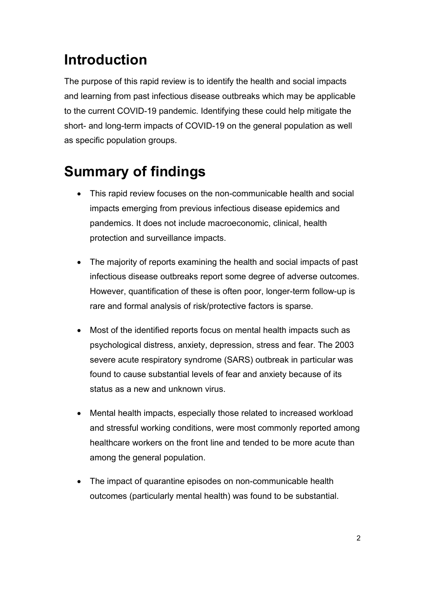# <span id="page-3-0"></span>**Introduction**

The purpose of this rapid review is to identify the health and social impacts and learning from past infectious disease outbreaks which may be applicable to the current COVID-19 pandemic. Identifying these could help mitigate the short- and long-term impacts of COVID-19 on the general population as well as specific population groups.

# <span id="page-3-1"></span>**Summary of findings**

- This rapid review focuses on the non-communicable health and social impacts emerging from previous infectious disease epidemics and pandemics. It does not include macroeconomic, clinical, health protection and surveillance impacts.
- The majority of reports examining the health and social impacts of past infectious disease outbreaks report some degree of adverse outcomes. However, quantification of these is often poor, longer-term follow-up is rare and formal analysis of risk/protective factors is sparse.
- Most of the identified reports focus on mental health impacts such as psychological distress, anxiety, depression, stress and fear. The 2003 severe acute respiratory syndrome (SARS) outbreak in particular was found to cause substantial levels of fear and anxiety because of its status as a new and unknown virus.
- Mental health impacts, especially those related to increased workload and stressful working conditions, were most commonly reported among healthcare workers on the front line and tended to be more acute than among the general population.
- The impact of quarantine episodes on non-communicable health outcomes (particularly mental health) was found to be substantial.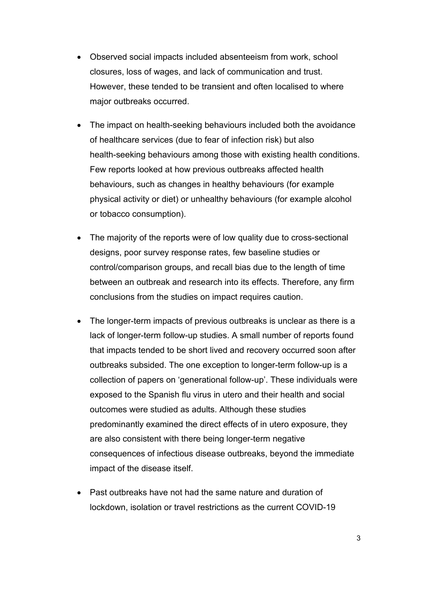- Observed social impacts included absenteeism from work, school closures, loss of wages, and lack of communication and trust. However, these tended to be transient and often localised to where major outbreaks occurred.
- The impact on health-seeking behaviours included both the avoidance of healthcare services (due to fear of infection risk) but also health-seeking behaviours among those with existing health conditions. Few reports looked at how previous outbreaks affected health behaviours, such as changes in healthy behaviours (for example physical activity or diet) or unhealthy behaviours (for example alcohol or tobacco consumption).
- The majority of the reports were of low quality due to cross-sectional designs, poor survey response rates, few baseline studies or control/comparison groups, and recall bias due to the length of time between an outbreak and research into its effects. Therefore, any firm conclusions from the studies on impact requires caution.
- The longer-term impacts of previous outbreaks is unclear as there is a lack of longer-term follow-up studies. A small number of reports found that impacts tended to be short lived and recovery occurred soon after outbreaks subsided. The one exception to longer-term follow-up is a collection of papers on 'generational follow-up'. These individuals were exposed to the Spanish flu virus in utero and their health and social outcomes were studied as adults. Although these studies predominantly examined the direct effects of in utero exposure, they are also consistent with there being longer-term negative consequences of infectious disease outbreaks, beyond the immediate impact of the disease itself.
- Past outbreaks have not had the same nature and duration of lockdown, isolation or travel restrictions as the current COVID-19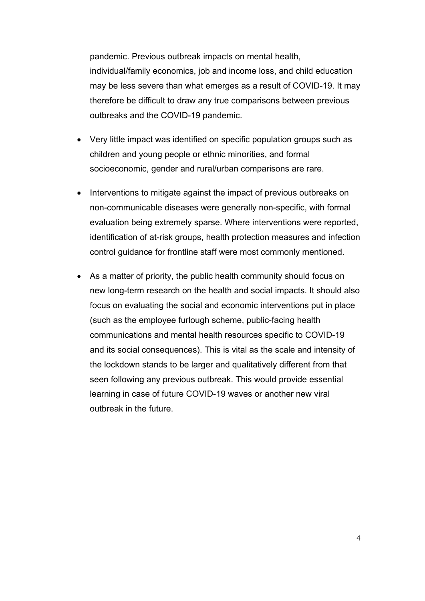pandemic. Previous outbreak impacts on mental health, individual/family economics, job and income loss, and child education may be less severe than what emerges as a result of COVID-19. It may therefore be difficult to draw any true comparisons between previous outbreaks and the COVID-19 pandemic.

- Very little impact was identified on specific population groups such as children and young people or ethnic minorities, and formal socioeconomic, gender and rural/urban comparisons are rare.
- Interventions to mitigate against the impact of previous outbreaks on non-communicable diseases were generally non-specific, with formal evaluation being extremely sparse. Where interventions were reported, identification of at-risk groups, health protection measures and infection control guidance for frontline staff were most commonly mentioned.
- As a matter of priority, the public health community should focus on new long-term research on the health and social impacts. It should also focus on evaluating the social and economic interventions put in place (such as the employee furlough scheme, public-facing health communications and mental health resources specific to COVID-19 and its social consequences). This is vital as the scale and intensity of the lockdown stands to be larger and qualitatively different from that seen following any previous outbreak. This would provide essential learning in case of future COVID-19 waves or another new viral outbreak in the future.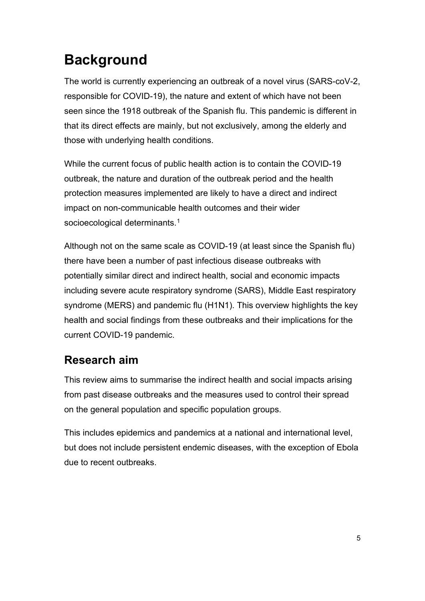# <span id="page-6-0"></span>**Background**

The world is currently experiencing an outbreak of a novel virus (SARS-coV-2, responsible for COVID-19), the nature and extent of which have not been seen since the 1918 outbreak of the Spanish flu. This pandemic is different in that its direct effects are mainly, but not exclusively, among the elderly and those with underlying health conditions.

While the current focus of public health action is to contain the COVID-19 outbreak, the nature and duration of the outbreak period and the health protection measures implemented are likely to have a direct and indirect impact on non-communicable health outcomes and their wider socioecological determinants. [1](#page-27-1)

Although not on the same scale as COVID-19 (at least since the Spanish flu) there have been a number of past infectious disease outbreaks with potentially similar direct and indirect health, social and economic impacts including severe acute respiratory syndrome (SARS), Middle East respiratory syndrome (MERS) and pandemic flu (H1N1). This overview highlights the key health and social findings from these outbreaks and their implications for the current COVID-19 pandemic.

### **Research aim**

This review aims to summarise the indirect health and social impacts arising from past disease outbreaks and the measures used to control their spread on the general population and specific population groups.

This includes epidemics and pandemics at a national and international level, but does not include persistent endemic diseases, with the exception of Ebola due to recent outbreaks.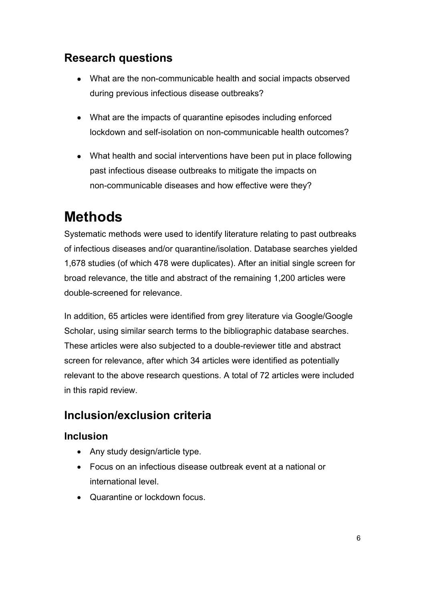### **Research questions**

- What are the non-communicable health and social impacts observed during previous infectious disease outbreaks?
- What are the impacts of quarantine episodes including enforced lockdown and self-isolation on non-communicable health outcomes?
- What health and social interventions have been put in place following past infectious disease outbreaks to mitigate the impacts on non-communicable diseases and how effective were they?

# <span id="page-7-0"></span>**Methods**

Systematic methods were used to identify literature relating to past outbreaks of infectious diseases and/or quarantine/isolation. Database searches yielded 1,678 studies (of which 478 were duplicates). After an initial single screen for broad relevance, the title and abstract of the remaining 1,200 articles were double-screened for relevance.

In addition, 65 articles were identified from grey literature via Google/Google Scholar, using similar search terms to the bibliographic database searches. These articles were also subjected to a double-reviewer title and abstract screen for relevance, after which 34 articles were identified as potentially relevant to the above research questions. A total of 72 articles were included in this rapid review.

### **Inclusion/exclusion criteria**

#### **Inclusion**

- Any study design/article type.
- Focus on an infectious disease outbreak event at a national or international level.
- Quarantine or lockdown focus.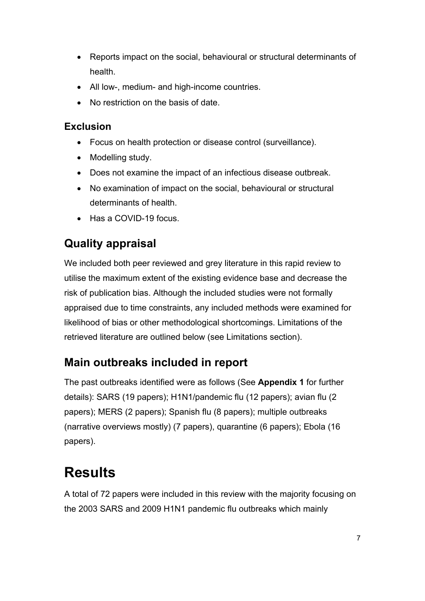- Reports impact on the social, behavioural or structural determinants of health.
- All low-, medium- and high-income countries.
- No restriction on the basis of date.

#### **Exclusion**

- Focus on health protection or disease control (surveillance).
- Modelling study.
- Does not examine the impact of an infectious disease outbreak.
- No examination of impact on the social, behavioural or structural determinants of health.
- Has a COVID-19 focus.

## **Quality appraisal**

We included both peer reviewed and grey literature in this rapid review to utilise the maximum extent of the existing evidence base and decrease the risk of publication bias. Although the included studies were not formally appraised due to time constraints, any included methods were examined for likelihood of bias or other methodological shortcomings. Limitations of the retrieved literature are outlined below (see Limitations section).

## **Main outbreaks included in report**

The past outbreaks identified were as follows (See **Appendix 1** for further details): SARS (19 papers); H1N1/pandemic flu (12 papers); avian flu (2 papers); MERS (2 papers); Spanish flu (8 papers); multiple outbreaks (narrative overviews mostly) (7 papers), quarantine (6 papers); Ebola (16 papers).

# <span id="page-8-0"></span>**Results**

A total of 72 papers were included in this review with the majority focusing on the 2003 SARS and 2009 H1N1 pandemic flu outbreaks which mainly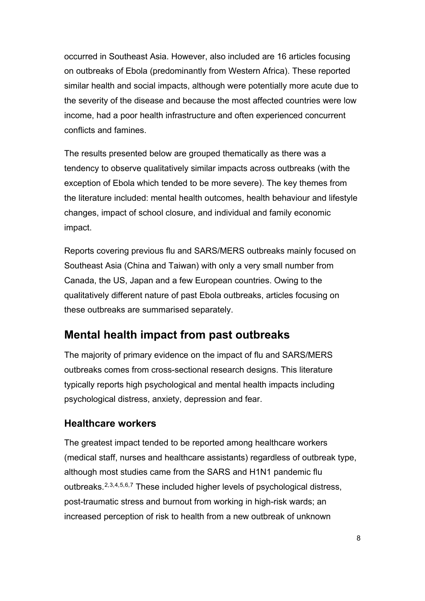occurred in Southeast Asia. However, also included are 16 articles focusing on outbreaks of Ebola (predominantly from Western Africa). These reported similar health and social impacts, although were potentially more acute due to the severity of the disease and because the most affected countries were low income, had a poor health infrastructure and often experienced concurrent conflicts and famines.

The results presented below are grouped thematically as there was a tendency to observe qualitatively similar impacts across outbreaks (with the exception of Ebola which tended to be more severe). The key themes from the literature included: mental health outcomes, health behaviour and lifestyle changes, impact of school closure, and individual and family economic impact.

Reports covering previous flu and SARS/MERS outbreaks mainly focused on Southeast Asia (China and Taiwan) with only a very small number from Canada, the US, Japan and a few European countries. Owing to the qualitatively different nature of past Ebola outbreaks, articles focusing on these outbreaks are summarised separately.

### **Mental health impact from past outbreaks**

The majority of primary evidence on the impact of flu and SARS/MERS outbreaks comes from cross-sectional research designs. This literature typically reports high psychological and mental health impacts including psychological distress, anxiety, depression and fear.

#### **Healthcare workers**

The greatest impact tended to be reported among healthcare workers (medical staff, nurses and healthcare assistants) regardless of outbreak type, although most studies came from the SARS and H1N1 pandemic flu outbreaks.<sup>[2,](#page-27-2)[3](#page-27-3),[4](#page-27-4),[5](#page-27-5),[6,](#page-27-6)[7](#page-27-7)</sup> These included higher levels of psychological distress, post-traumatic stress and burnout from working in high-risk wards; an increased perception of risk to health from a new outbreak of unknown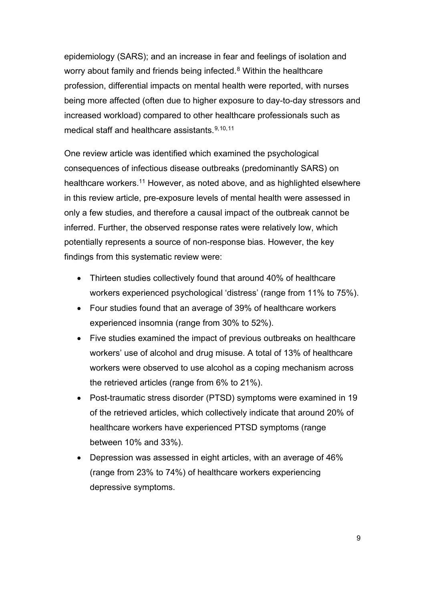epidemiology (SARS); and an increase in fear and feelings of isolation and worry about family and friends being infected. [8](#page-27-8) Within the healthcare profession, differential impacts on mental health were reported, with nurses being more affected (often due to higher exposure to day-to-day stressors and increased workload) compared to other healthcare professionals such as medical staff and healthcare assistants. [9](#page-27-9),[10,](#page-28-0)[11](#page-28-1)

One review article was identified which examined the psychological consequences of infectious disease outbreaks (predominantly SARS) on healthcare workers. [11](#page-28-2) However, as noted above, and as highlighted elsewhere in this review article, pre-exposure levels of mental health were assessed in only a few studies, and therefore a causal impact of the outbreak cannot be inferred. Further, the observed response rates were relatively low, which potentially represents a source of non-response bias. However, the key findings from this systematic review were:

- Thirteen studies collectively found that around 40% of healthcare workers experienced psychological 'distress' (range from 11% to 75%).
- Four studies found that an average of 39% of healthcare workers experienced insomnia (range from 30% to 52%).
- Five studies examined the impact of previous outbreaks on healthcare workers' use of alcohol and drug misuse. A total of 13% of healthcare workers were observed to use alcohol as a coping mechanism across the retrieved articles (range from 6% to 21%).
- Post-traumatic stress disorder (PTSD) symptoms were examined in 19 of the retrieved articles, which collectively indicate that around 20% of healthcare workers have experienced PTSD symptoms (range between 10% and 33%).
- Depression was assessed in eight articles, with an average of 46% (range from 23% to 74%) of healthcare workers experiencing depressive symptoms.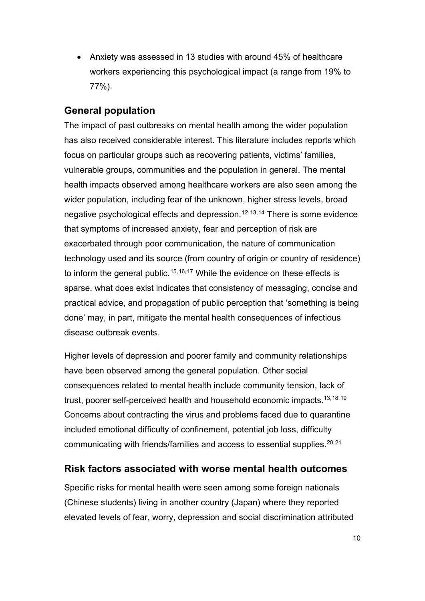• Anxiety was assessed in 13 studies with around 45% of healthcare workers experiencing this psychological impact (a range from 19% to 77%).

#### **General population**

The impact of past outbreaks on mental health among the wider population has also received considerable interest. This literature includes reports which focus on particular groups such as recovering patients, victims' families, vulnerable groups, communities and the population in general. The mental health impacts observed among healthcare workers are also seen among the wider population, including fear of the unknown, higher stress levels, broad negative psychological effects and depression. [12,](#page-28-3)[13](#page-28-4),[14](#page-28-5) There is some evidence that symptoms of increased anxiety, fear and perception of risk are exacerbated through poor communication, the nature of communication technology used and its source (from country of origin or country of residence) to inform the general public.<sup>[15](#page-28-6),[16](#page-28-7),[17](#page-28-8)</sup> While the evidence on these effects is sparse, what does exist indicates that consistency of messaging, concise and practical advice, and propagation of public perception that 'something is being done' may, in part, mitigate the mental health consequences of infectious disease outbreak events.

Higher levels of depression and poorer family and community relationships have been observed among the general population. Other social consequences related to mental health include community tension, lack of trust, poorer self-perceived health and household economic impacts. 13,[18](#page-28-9),[19](#page-29-0) Concerns about contracting the virus and problems faced due to quarantine included emotional difficulty of confinement, potential job loss, difficulty communicating with friends/families and access to essential supplies. [20,](#page-29-1)[21](#page-29-2)

#### **Risk factors associated with worse mental health outcomes**

Specific risks for mental health were seen among some foreign nationals (Chinese students) living in another country (Japan) where they reported elevated levels of fear, worry, depression and social discrimination attributed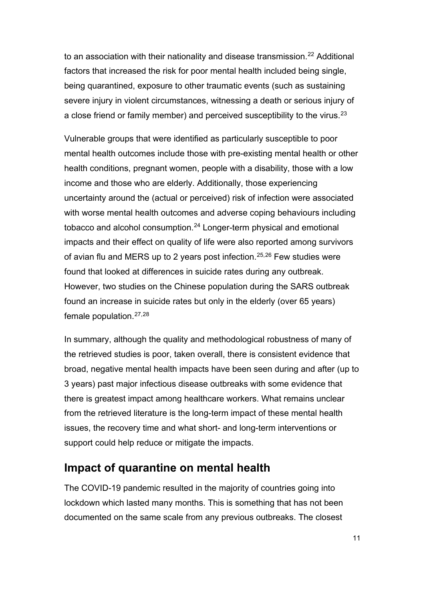to an association with their nationality and disease transmission.<sup>[22](#page-29-3)</sup> Additional factors that increased the risk for poor mental health included being single, being quarantined, exposure to other traumatic events (such as sustaining severe injury in violent circumstances, witnessing a death or serious injury of a close friend or family member) and perceived susceptibility to the virus.<sup>[23](#page-29-4)</sup>

Vulnerable groups that were identified as particularly susceptible to poor mental health outcomes include those with pre-existing mental health or other health conditions, pregnant women, people with a disability, those with a low income and those who are elderly. Additionally, those experiencing uncertainty around the (actual or perceived) risk of infection were associated with worse mental health outcomes and adverse coping behaviours including tobacco and alcohol consumption. [24](#page-29-5) Longer-term physical and emotional impacts and their effect on quality of life were also reported among survivors of avian flu and MERS up to 2 years post infection. [25,](#page-29-6)[26](#page-29-7) Few studies were found that looked at differences in suicide rates during any outbreak. However, two studies on the Chinese population during the SARS outbreak found an increase in suicide rates but only in the elderly (over 65 years) female population. [27](#page-29-8),[28](#page-30-0)

In summary, although the quality and methodological robustness of many of the retrieved studies is poor, taken overall, there is consistent evidence that broad, negative mental health impacts have been seen during and after (up to 3 years) past major infectious disease outbreaks with some evidence that there is greatest impact among healthcare workers. What remains unclear from the retrieved literature is the long-term impact of these mental health issues, the recovery time and what short- and long-term interventions or support could help reduce or mitigate the impacts.

#### **Impact of quarantine on mental health**

The COVID-19 pandemic resulted in the majority of countries going into lockdown which lasted many months. This is something that has not been documented on the same scale from any previous outbreaks. The closest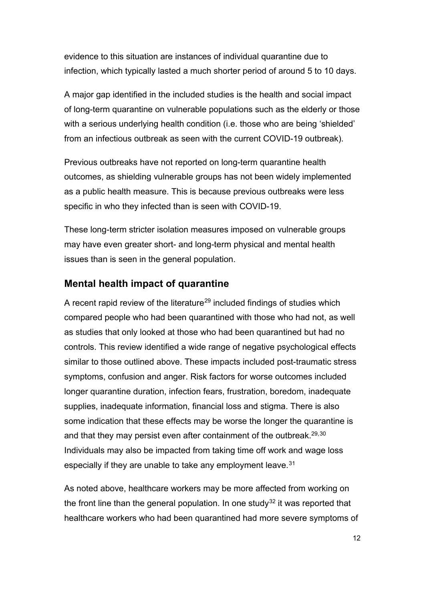evidence to this situation are instances of individual quarantine due to infection, which typically lasted a much shorter period of around 5 to 10 days.

A major gap identified in the included studies is the health and social impact of long-term quarantine on vulnerable populations such as the elderly or those with a serious underlying health condition (i.e. those who are being 'shielded' from an infectious outbreak as seen with the current COVID-19 outbreak).

Previous outbreaks have not reported on long-term quarantine health outcomes, as shielding vulnerable groups has not been widely implemented as a public health measure. This is because previous outbreaks were less specific in who they infected than is seen with COVID-19.

These long-term stricter isolation measures imposed on vulnerable groups may have even greater short- and long-term physical and mental health issues than is seen in the general population.

#### **Mental health impact of quarantine**

A recent rapid review of the literature<sup>[29](#page-30-1)</sup> included findings of studies which compared people who had been quarantined with those who had not, as well as studies that only looked at those who had been quarantined but had no controls. This review identified a wide range of negative psychological effects similar to those outlined above. These impacts included post-traumatic stress symptoms, confusion and anger. Risk factors for worse outcomes included longer quarantine duration, infection fears, frustration, boredom, inadequate supplies, inadequate information, financial loss and stigma. There is also some indication that these effects may be worse the longer the quarantine is and that they may persist even after containment of the outbreak.<sup>29,30</sup> Individuals may also be impacted from taking time off work and wage loss especially if they are unable to take any employment leave.<sup>[31](#page-30-3)</sup>

As noted above, healthcare workers may be more affected from working on the front line than the general population. In one study<sup>[32](#page-30-4)</sup> it was reported that healthcare workers who had been quarantined had more severe symptoms of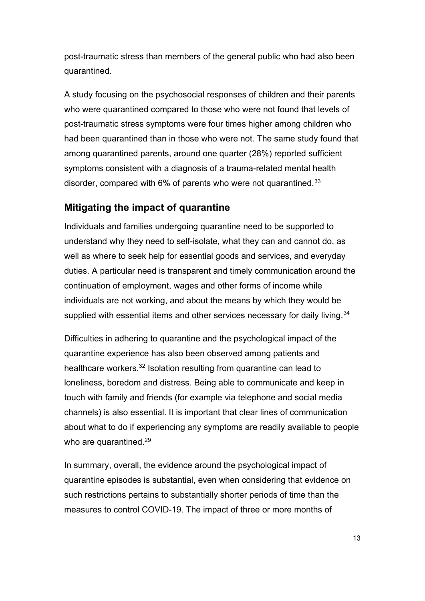post-traumatic stress than members of the general public who had also been quarantined.

A study focusing on the psychosocial responses of children and their parents who were quarantined compared to those who were not found that levels of post-traumatic stress symptoms were four times higher among children who had been quarantined than in those who were not. The same study found that among quarantined parents, around one quarter (28%) reported sufficient symptoms consistent with a diagnosis of a trauma-related mental health disorder, compared with 6% of parents who were not quarantined.<sup>[33](#page-30-5)</sup>

#### **Mitigating the impact of quarantine**

Individuals and families undergoing quarantine need to be supported to understand why they need to self-isolate, what they can and cannot do, as well as where to seek help for essential goods and services, and everyday duties. A particular need is transparent and timely communication around the continuation of employment, wages and other forms of income while individuals are not working, and about the means by which they would be supplied with essential items and other services necessary for daily living.<sup>[34](#page-30-6)</sup>

Difficulties in adhering to quarantine and the psychological impact of the quarantine experience has also been observed among patients and healthcare workers.<sup>32</sup> Isolation resulting from quarantine can lead to loneliness, boredom and distress. Being able to communicate and keep in touch with family and friends (for example via telephone and social media channels) is also essential. It is important that clear lines of communication about what to do if experiencing any symptoms are readily available to people who are quarantined.<sup>29</sup>

In summary, overall, the evidence around the psychological impact of quarantine episodes is substantial, even when considering that evidence on such restrictions pertains to substantially shorter periods of time than the measures to control COVID-19. The impact of three or more months of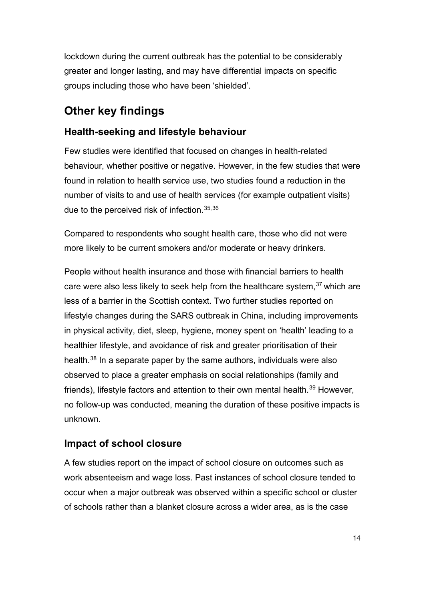lockdown during the current outbreak has the potential to be considerably greater and longer lasting, and may have differential impacts on specific groups including those who have been 'shielded'.

### **Other key findings**

#### **Health-seeking and lifestyle behaviour**

Few studies were identified that focused on changes in health-related behaviour, whether positive or negative. However, in the few studies that were found in relation to health service use, two studies found a reduction in the number of visits to and use of health services (for example outpatient visits) due to the perceived risk of infection. [35,](#page-30-8)[36](#page-30-9)

Compared to respondents who sought health care, those who did not were more likely to be current smokers and/or moderate or heavy drinkers.

People without health insurance and those with financial barriers to health care were also less likely to seek help from the healthcare system, [37](#page-30-10) which are less of a barrier in the Scottish context. Two further studies reported on lifestyle changes during the SARS outbreak in China, including improvements in physical activity, diet, sleep, hygiene, money spent on 'health' leading to a healthier lifestyle, and avoidance of risk and greater prioritisation of their health. [38](#page-31-0) In a separate paper by the same authors, individuals were also observed to place a greater emphasis on social relationships (family and friends), lifestyle factors and attention to their own mental health.<sup>[39](#page-31-1)</sup> However, no follow-up was conducted, meaning the duration of these positive impacts is unknown.

#### **Impact of school closure**

A few studies report on the impact of school closure on outcomes such as work absenteeism and wage loss. Past instances of school closure tended to occur when a major outbreak was observed within a specific school or cluster of schools rather than a blanket closure across a wider area, as is the case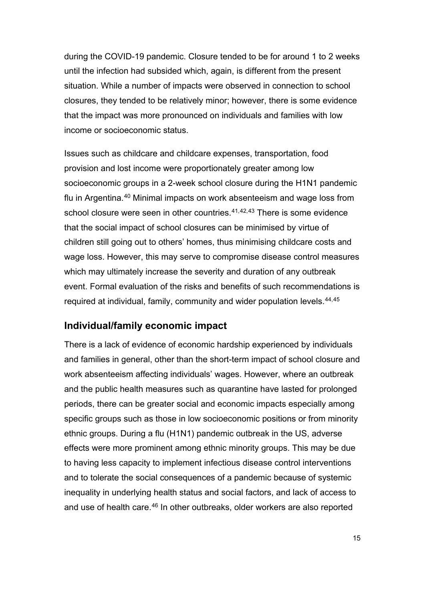during the COVID-19 pandemic. Closure tended to be for around 1 to 2 weeks until the infection had subsided which, again, is different from the present situation. While a number of impacts were observed in connection to school closures, they tended to be relatively minor; however, there is some evidence that the impact was more pronounced on individuals and families with low income or socioeconomic status.

Issues such as childcare and childcare expenses, transportation, food provision and lost income were proportionately greater among low socioeconomic groups in a 2-week school closure during the H1N1 pandemic flu in Argentina.<sup>[40](#page-31-2)</sup> Minimal impacts on work absenteeism and wage loss from school closure were seen in other countries.<sup>[41,](#page-31-3)[42](#page-31-4),[43](#page-31-5)</sup> There is some evidence that the social impact of school closures can be minimised by virtue of children still going out to others' homes, thus minimising childcare costs and wage loss. However, this may serve to compromise disease control measures which may ultimately increase the severity and duration of any outbreak event. Formal evaluation of the risks and benefits of such recommendations is required at individual, family, community and wider population levels. [44](#page-31-6),[45](#page-31-7)

#### **Individual/family economic impact**

There is a lack of evidence of economic hardship experienced by individuals and families in general, other than the short-term impact of school closure and work absenteeism affecting individuals' wages. However, where an outbreak and the public health measures such as quarantine have lasted for prolonged periods, there can be greater social and economic impacts especially among specific groups such as those in low socioeconomic positions or from minority ethnic groups. During a flu (H1N1) pandemic outbreak in the US, adverse effects were more prominent among ethnic minority groups. This may be due to having less capacity to implement infectious disease control interventions and to tolerate the social consequences of a pandemic because of systemic inequality in underlying health status and social factors, and lack of access to and use of health care. [46](#page-32-0) In other outbreaks, older workers are also reported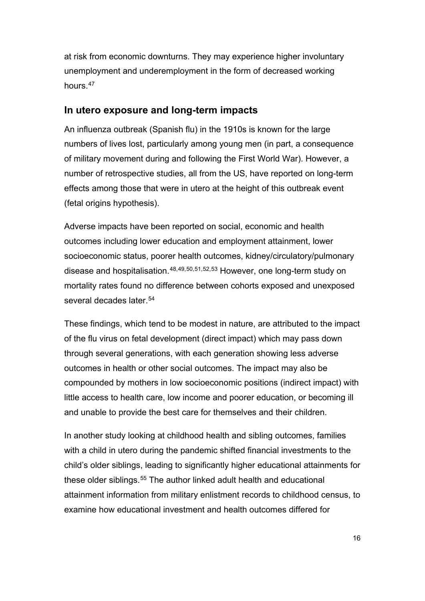at risk from economic downturns. They may experience higher involuntary unemployment and underemployment in the form of decreased working hours. [47](#page-32-1)

#### **In utero exposure and long-term impacts**

An influenza outbreak (Spanish flu) in the 1910s is known for the large numbers of lives lost, particularly among young men (in part, a consequence of military movement during and following the First World War). However, a number of retrospective studies, all from the US, have reported on long-term effects among those that were in utero at the height of this outbreak event (fetal origins hypothesis).

Adverse impacts have been reported on social, economic and health outcomes including lower education and employment attainment, lower socioeconomic status, poorer health outcomes, kidney/circulatory/pulmonary disease and hospitalisation. [48,](#page-32-2)[49](#page-32-3),[50](#page-32-4),[51,](#page-32-5)[52](#page-32-6),[53](#page-32-7) However, one long-term study on mortality rates found no difference between cohorts exposed and unexposed several decades later.<sup>[54](#page-32-8)</sup>

These findings, which tend to be modest in nature, are attributed to the impact of the flu virus on fetal development (direct impact) which may pass down through several generations, with each generation showing less adverse outcomes in health or other social outcomes. The impact may also be compounded by mothers in low socioeconomic positions (indirect impact) with little access to health care, low income and poorer education, or becoming ill and unable to provide the best care for themselves and their children.

In another study looking at childhood health and sibling outcomes, families with a child in utero during the pandemic shifted financial investments to the child's older siblings, leading to significantly higher educational attainments for these older siblings. [55](#page-33-0) The author linked adult health and educational attainment information from military enlistment records to childhood census, to examine how educational investment and health outcomes differed for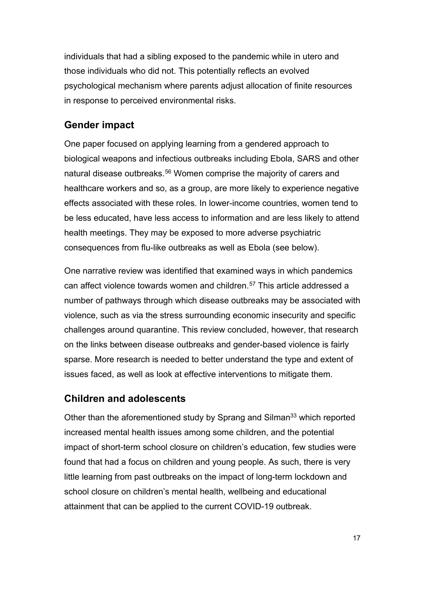individuals that had a sibling exposed to the pandemic while in utero and those individuals who did not. This potentially reflects an evolved psychological mechanism where parents adjust allocation of finite resources in response to perceived environmental risks.

#### **Gender impact**

One paper focused on applying learning from a gendered approach to biological weapons and infectious outbreaks including Ebola, SARS and other natural disease outbreaks. [56](#page-33-1) Women comprise the majority of carers and healthcare workers and so, as a group, are more likely to experience negative effects associated with these roles. In lower-income countries, women tend to be less educated, have less access to information and are less likely to attend health meetings. They may be exposed to more adverse psychiatric consequences from flu-like outbreaks as well as Ebola (see below).

One narrative review was identified that examined ways in which pandemics can affect violence towards women and children. [57](#page-33-2) This article addressed a number of pathways through which disease outbreaks may be associated with violence, such as via the stress surrounding economic insecurity and specific challenges around quarantine. This review concluded, however, that research on the links between disease outbreaks and gender-based violence is fairly sparse. More research is needed to better understand the type and extent of issues faced, as well as look at effective interventions to mitigate them.

#### **Children and adolescents**

Other than the aforementioned study by Sprang and Silman<sup>[33](#page-30-7)</sup> which reported increased mental health issues among some children, and the potential impact of short-term school closure on children's education, few studies were found that had a focus on children and young people. As such, there is very little learning from past outbreaks on the impact of long-term lockdown and school closure on children's mental health, wellbeing and educational attainment that can be applied to the current COVID-19 outbreak.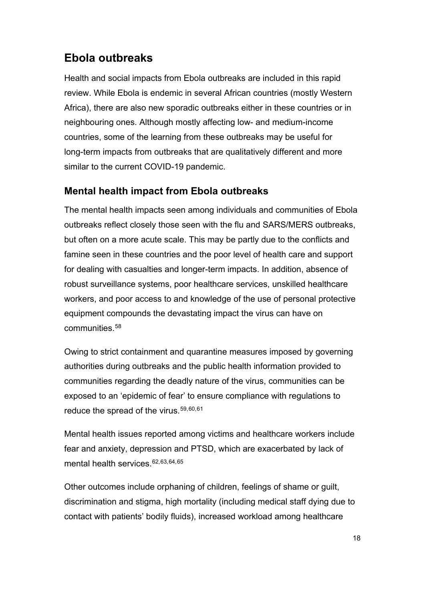### **Ebola outbreaks**

Health and social impacts from Ebola outbreaks are included in this rapid review. While Ebola is endemic in several African countries (mostly Western Africa), there are also new sporadic outbreaks either in these countries or in neighbouring ones. Although mostly affecting low- and medium-income countries, some of the learning from these outbreaks may be useful for long-term impacts from outbreaks that are qualitatively different and more similar to the current COVID-19 pandemic.

#### **Mental health impact from Ebola outbreaks**

The mental health impacts seen among individuals and communities of Ebola outbreaks reflect closely those seen with the flu and SARS/MERS outbreaks, but often on a more acute scale. This may be partly due to the conflicts and famine seen in these countries and the poor level of health care and support for dealing with casualties and longer-term impacts. In addition, absence of robust surveillance systems, poor healthcare services, unskilled healthcare workers, and poor access to and knowledge of the use of personal protective equipment compounds the devastating impact the virus can have on communities. [58](#page-33-3)

Owing to strict containment and quarantine measures imposed by governing authorities during outbreaks and the public health information provided to communities regarding the deadly nature of the virus, communities can be exposed to an 'epidemic of fear' to ensure compliance with regulations to reduce the spread of the virus. [59](#page-33-4),[60](#page-33-5),[61](#page-33-6)

Mental health issues reported among victims and healthcare workers include fear and anxiety, depression and PTSD, which are exacerbated by lack of mental health services.<sup>[62](#page-33-7),[63,](#page-34-0)[64](#page-34-1),[65](#page-34-2)</sup>

Other outcomes include orphaning of children, feelings of shame or guilt, discrimination and stigma, high mortality (including medical staff dying due to contact with patients' bodily fluids), increased workload among healthcare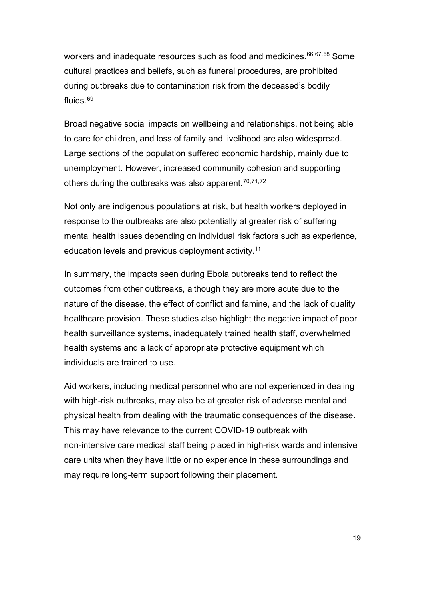workers and inadequate resources such as food and medicines. [66,](#page-34-3)[67](#page-34-4),[68](#page-34-5) Some cultural practices and beliefs, such as funeral procedures, are prohibited during outbreaks due to contamination risk from the deceased's bodily fluids. [69](#page-34-6)

Broad negative social impacts on wellbeing and relationships, not being able to care for children, and loss of family and livelihood are also widespread. Large sections of the population suffered economic hardship, mainly due to unemployment. However, increased community cohesion and supporting others during the outbreaks was also apparent. [70,](#page-34-7)[71](#page-34-8),[72](#page-35-0)

Not only are indigenous populations at risk, but health workers deployed in response to the outbreaks are also potentially at greater risk of suffering mental health issues depending on individual risk factors such as experience, education levels and previous deployment activity. [11](#page-28-2)

In summary, the impacts seen during Ebola outbreaks tend to reflect the outcomes from other outbreaks, although they are more acute due to the nature of the disease, the effect of conflict and famine, and the lack of quality healthcare provision. These studies also highlight the negative impact of poor health surveillance systems, inadequately trained health staff, overwhelmed health systems and a lack of appropriate protective equipment which individuals are trained to use.

<span id="page-20-0"></span>Aid workers, including medical personnel who are not experienced in dealing with high-risk outbreaks, may also be at greater risk of adverse mental and physical health from dealing with the traumatic consequences of the disease. This may have relevance to the current COVID-19 outbreak with non-intensive care medical staff being placed in high-risk wards and intensive care units when they have little or no experience in these surroundings and may require long-term support following their placement.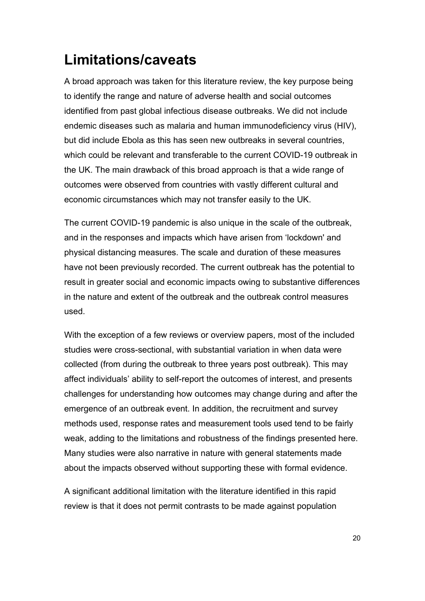# **Limitations/caveats**

A broad approach was taken for this literature review, the key purpose being to identify the range and nature of adverse health and social outcomes identified from past global infectious disease outbreaks. We did not include endemic diseases such as malaria and human immunodeficiency virus (HIV), but did include Ebola as this has seen new outbreaks in several countries, which could be relevant and transferable to the current COVID-19 outbreak in the UK. The main drawback of this broad approach is that a wide range of outcomes were observed from countries with vastly different cultural and economic circumstances which may not transfer easily to the UK.

The current COVID-19 pandemic is also unique in the scale of the outbreak, and in the responses and impacts which have arisen from 'lockdown' and physical distancing measures. The scale and duration of these measures have not been previously recorded. The current outbreak has the potential to result in greater social and economic impacts owing to substantive differences in the nature and extent of the outbreak and the outbreak control measures used.

With the exception of a few reviews or overview papers, most of the included studies were cross-sectional, with substantial variation in when data were collected (from during the outbreak to three years post outbreak). This may affect individuals' ability to self-report the outcomes of interest, and presents challenges for understanding how outcomes may change during and after the emergence of an outbreak event. In addition, the recruitment and survey methods used, response rates and measurement tools used tend to be fairly weak, adding to the limitations and robustness of the findings presented here. Many studies were also narrative in nature with general statements made about the impacts observed without supporting these with formal evidence.

A significant additional limitation with the literature identified in this rapid review is that it does not permit contrasts to be made against population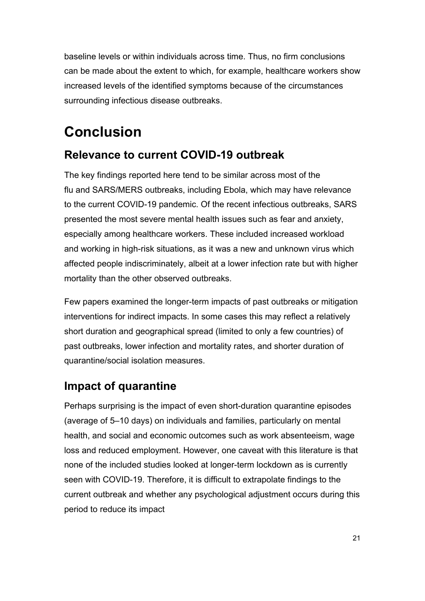baseline levels or within individuals across time. Thus, no firm conclusions can be made about the extent to which, for example, healthcare workers show increased levels of the identified symptoms because of the circumstances surrounding infectious disease outbreaks.

# <span id="page-22-0"></span>**Conclusion**

### **Relevance to current COVID-19 outbreak**

The key findings reported here tend to be similar across most of the flu and SARS/MERS outbreaks, including Ebola, which may have relevance to the current COVID-19 pandemic. Of the recent infectious outbreaks, SARS presented the most severe mental health issues such as fear and anxiety, especially among healthcare workers. These included increased workload and working in high-risk situations, as it was a new and unknown virus which affected people indiscriminately, albeit at a lower infection rate but with higher mortality than the other observed outbreaks.

Few papers examined the longer-term impacts of past outbreaks or mitigation interventions for indirect impacts. In some cases this may reflect a relatively short duration and geographical spread (limited to only a few countries) of past outbreaks, lower infection and mortality rates, and shorter duration of quarantine/social isolation measures.

### **Impact of quarantine**

Perhaps surprising is the impact of even short-duration quarantine episodes (average of 5–10 days) on individuals and families, particularly on mental health, and social and economic outcomes such as work absenteeism, wage loss and reduced employment. However, one caveat with this literature is that none of the included studies looked at longer-term lockdown as is currently seen with COVID-19. Therefore, it is difficult to extrapolate findings to the current outbreak and whether any psychological adjustment occurs during this period to reduce its impact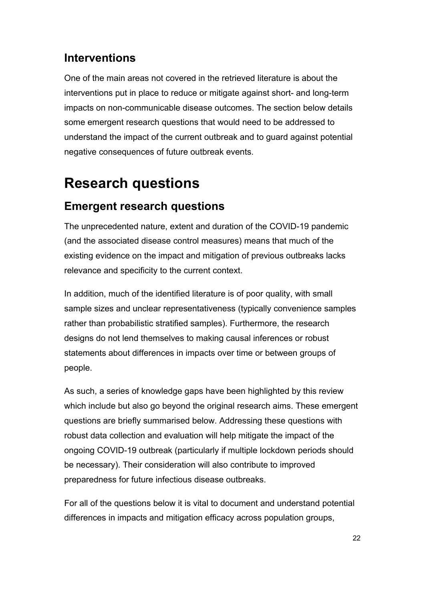### **Interventions**

One of the main areas not covered in the retrieved literature is about the interventions put in place to reduce or mitigate against short- and long-term impacts on non-communicable disease outcomes. The section below details some emergent research questions that would need to be addressed to understand the impact of the current outbreak and to guard against potential negative consequences of future outbreak events.

# <span id="page-23-0"></span>**Research questions**

### **Emergent research questions**

The unprecedented nature, extent and duration of the COVID-19 pandemic (and the associated disease control measures) means that much of the existing evidence on the impact and mitigation of previous outbreaks lacks relevance and specificity to the current context.

In addition, much of the identified literature is of poor quality, with small sample sizes and unclear representativeness (typically convenience samples rather than probabilistic stratified samples). Furthermore, the research designs do not lend themselves to making causal inferences or robust statements about differences in impacts over time or between groups of people.

As such, a series of knowledge gaps have been highlighted by this review which include but also go beyond the original research aims. These emergent questions are briefly summarised below. Addressing these questions with robust data collection and evaluation will help mitigate the impact of the ongoing COVID-19 outbreak (particularly if multiple lockdown periods should be necessary). Their consideration will also contribute to improved preparedness for future infectious disease outbreaks.

For all of the questions below it is vital to document and understand potential differences in impacts and mitigation efficacy across population groups,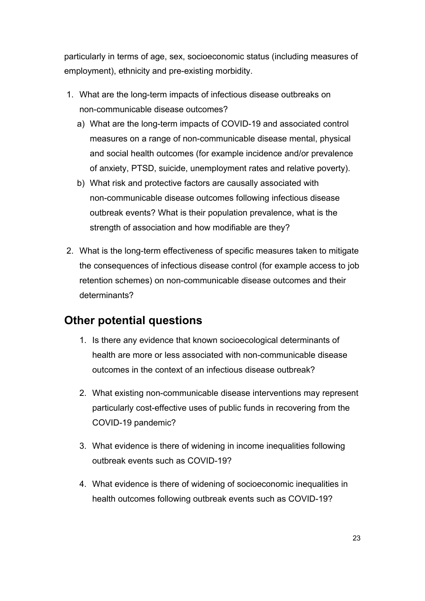particularly in terms of age, sex, socioeconomic status (including measures of employment), ethnicity and pre-existing morbidity.

- 1. What are the long-term impacts of infectious disease outbreaks on non-communicable disease outcomes?
	- a) What are the long-term impacts of COVID-19 and associated control measures on a range of non-communicable disease mental, physical and social health outcomes (for example incidence and/or prevalence of anxiety, PTSD, suicide, unemployment rates and relative poverty).
	- b) What risk and protective factors are causally associated with non-communicable disease outcomes following infectious disease outbreak events? What is their population prevalence, what is the strength of association and how modifiable are they?
- 2. What is the long-term effectiveness of specific measures taken to mitigate the consequences of infectious disease control (for example access to job retention schemes) on non-communicable disease outcomes and their determinants?

### **Other potential questions**

- 1. Is there any evidence that known socioecological determinants of health are more or less associated with non-communicable disease outcomes in the context of an infectious disease outbreak?
- 2. What existing non-communicable disease interventions may represent particularly cost-effective uses of public funds in recovering from the COVID-19 pandemic?
- 3. What evidence is there of widening in income inequalities following outbreak events such as COVID-19?
- 4. What evidence is there of widening of socioeconomic inequalities in health outcomes following outbreak events such as COVID-19?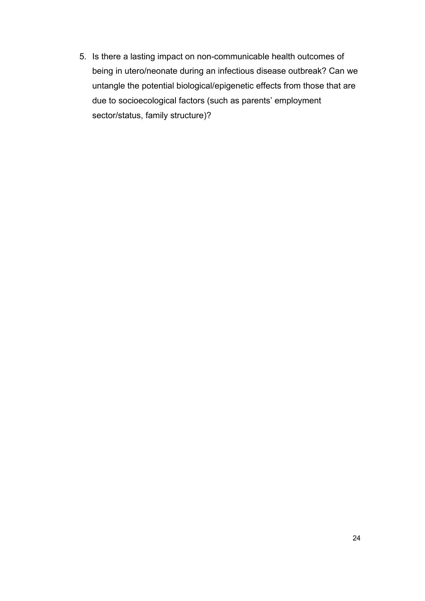5. Is there a lasting impact on non-communicable health outcomes of being in utero/neonate during an infectious disease outbreak? Can we untangle the potential biological/epigenetic effects from those that are due to socioecological factors (such as parents' employment sector/status, family structure)?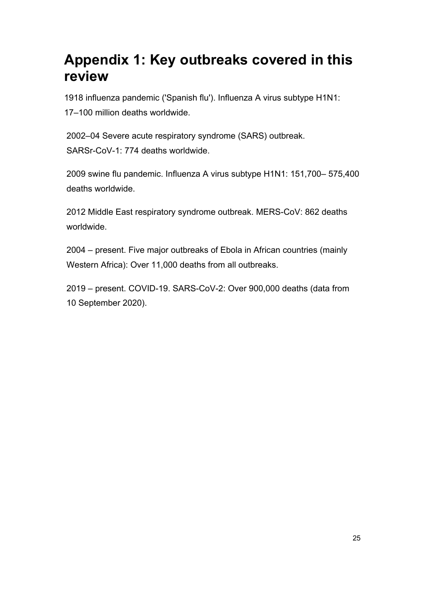# <span id="page-26-0"></span>**Appendix 1: Key outbreaks covered in this review**

1918 influenza pandemic ('Spanish flu'). Influenza A virus subtype H1N1: 17–100 million deaths worldwide.

2002–04 Severe acute respiratory syndrome (SARS) outbreak. SARSr-CoV-1: 774 deaths worldwide.

2009 swine flu pandemic. Influenza A virus subtype H1N1: 151,700– 575,400 deaths worldwide.

2012 Middle East respiratory syndrome outbreak. MERS-CoV: 862 deaths worldwide.

2004 – present. Five major outbreaks of Ebola in African countries (mainly Western Africa): Over 11,000 deaths from all outbreaks.

2019 – present. COVID-19. SARS-CoV-2: Over 900,000 deaths (data from 10 September 2020).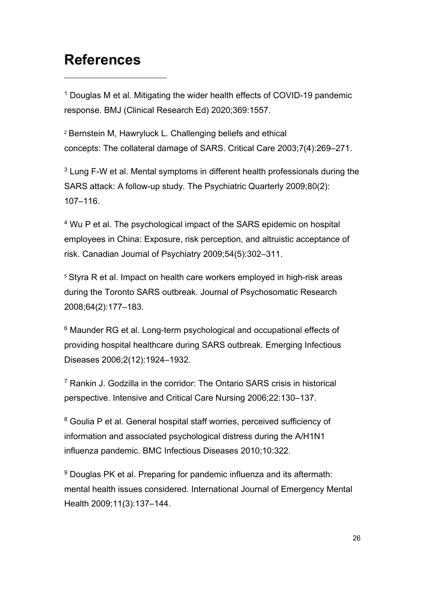## <span id="page-27-0"></span>**References**

-

<span id="page-27-1"></span><sup>1</sup> Douglas M et al. Mitigating the wider health effects of COVID-19 pandemic response. BMJ (Clinical Research Ed) 2020;369:1557.

<span id="page-27-2"></span><sup>2</sup> Bernstein M, Hawryluck L. Challenging beliefs and ethical concepts: The collateral damage of SARS. Critical Care 2003;7(4):269–271.

<span id="page-27-3"></span> $3$  Lung F-W et al. Mental symptoms in different health professionals during the SARS attack: A follow-up study. The Psychiatric Quarterly 2009;80(2): 107–116.

<span id="page-27-4"></span><sup>4</sup> Wu P et al. The psychological impact of the SARS epidemic on hospital employees in China: Exposure, risk perception, and altruistic acceptance of risk. Canadian Journal of Psychiatry 2009;54(5):302–311.

<span id="page-27-5"></span><sup>5</sup> Styra R et al. Impact on health care workers employed in high-risk areas during the Toronto SARS outbreak. Journal of Psychosomatic Research 2008;64(2):177–183.

<span id="page-27-6"></span><sup>6</sup> Maunder RG et al. Long-term psychological and occupational effects of providing hospital healthcare during SARS outbreak. Emerging Infectious Diseases 2006;2(12):1924–1932.

<span id="page-27-7"></span><sup>7</sup> Rankin J. Godzilla in the corridor: The Ontario SARS crisis in historical perspective. Intensive and Critical Care Nursing 2006;22:130–137.

<span id="page-27-8"></span><sup>8</sup> Goulia P et al. General hospital staff worries, perceived sufficiency of information and associated psychological distress during the A/H1N1 influenza pandemic. BMC Infectious Diseases 2010;10:322.

<span id="page-27-9"></span><sup>9</sup> Douglas PK et al. Preparing for pandemic influenza and its aftermath: mental health issues considered. International Journal of Emergency Mental Health 2009;11(3):137–144.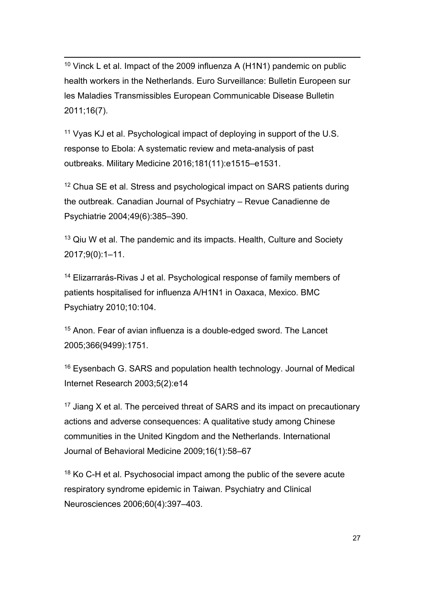<span id="page-28-2"></span><span id="page-28-0"></span><sup>10</sup> Vinck L et al. Impact of the 2009 influenza A (H1N1) pandemic on public health workers in the Netherlands. Euro Surveillance: Bulletin Europeen sur les Maladies Transmissibles European Communicable Disease Bulletin 2011;16(7).

<span id="page-28-1"></span><sup>11</sup> Vyas KJ et al. Psychological impact of deploying in support of the U.S. response to Ebola: A systematic review and meta-analysis of past outbreaks. Military Medicine 2016;181(11):e1515–e1531.

<span id="page-28-3"></span><sup>12</sup> Chua SE et al. Stress and psychological impact on SARS patients during the outbreak. Canadian Journal of Psychiatry – Revue Canadienne de Psychiatrie 2004;49(6):385–390.

<span id="page-28-4"></span><sup>13</sup> Qiu W et al. The pandemic and its impacts. Health, Culture and Society 2017;9(0):1–11.

<span id="page-28-5"></span><sup>14</sup> Elizarrarás-Rivas J et al. Psychological response of family members of patients hospitalised for influenza A/H1N1 in Oaxaca, Mexico. BMC Psychiatry 2010;10:104.

<span id="page-28-6"></span><sup>15</sup> Anon. Fear of avian influenza is a double-edged sword. The Lancet 2005;366(9499):1751.

<span id="page-28-7"></span><sup>16</sup> Eysenbach G. SARS and population health technology. Journal of Medical Internet Research 2003;5(2):e14

<span id="page-28-8"></span> $17$  Jiang X et al. The perceived threat of SARS and its impact on precautionary actions and adverse consequences: A qualitative study among Chinese communities in the United Kingdom and the Netherlands. International Journal of Behavioral Medicine 2009;16(1):58–67

<span id="page-28-9"></span><sup>18</sup> Ko C-H et al. Psychosocial impact among the public of the severe acute respiratory syndrome epidemic in Taiwan. Psychiatry and Clinical Neurosciences 2006;60(4):397–403.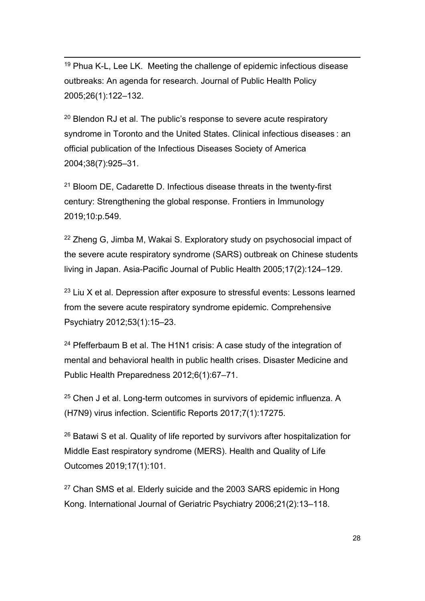<span id="page-29-0"></span><sup>19</sup> Phua K-L. Lee LK. Meeting the challenge of epidemic infectious disease outbreaks: An agenda for research. Journal of Public Health Policy 2005;26(1):122–132.

<span id="page-29-1"></span> $20$  Blendon RJ et al. The public's response to severe acute respiratory syndrome in Toronto and the United States. Clinical infectious diseases : an official publication of the Infectious Diseases Society of America 2004;38(7):925–31.

<span id="page-29-2"></span><sup>21</sup> Bloom DE, Cadarette D. Infectious disease threats in the twenty-first century: Strengthening the global response. Frontiers in Immunology 2019;10:p.549.

<span id="page-29-3"></span><sup>22</sup> Zheng G, Jimba M, Wakai S, Exploratory study on psychosocial impact of the severe acute respiratory syndrome (SARS) outbreak on Chinese students living in Japan. Asia-Pacific Journal of Public Health 2005;17(2):124–129.

<span id="page-29-4"></span> $23$  Liu X et al. Depression after exposure to stressful events: Lessons learned from the severe acute respiratory syndrome epidemic. Comprehensive Psychiatry 2012;53(1):15–23.

<span id="page-29-5"></span><sup>24</sup> Pfefferbaum B et al. The H1N1 crisis: A case study of the integration of mental and behavioral health in public health crises. Disaster Medicine and Public Health Preparedness 2012;6(1):67–71.

<span id="page-29-6"></span><sup>25</sup> Chen J et al. Long-term outcomes in survivors of epidemic influenza. A (H7N9) virus infection. Scientific Reports 2017;7(1):17275.

<span id="page-29-7"></span><sup>26</sup> Batawi S et al. Quality of life reported by survivors after hospitalization for Middle East respiratory syndrome (MERS). Health and Quality of Life Outcomes 2019;17(1):101.

<span id="page-29-8"></span> $27$  Chan SMS et al. Elderly suicide and the 2003 SARS epidemic in Hong Kong. International Journal of Geriatric Psychiatry 2006;21(2):13–118.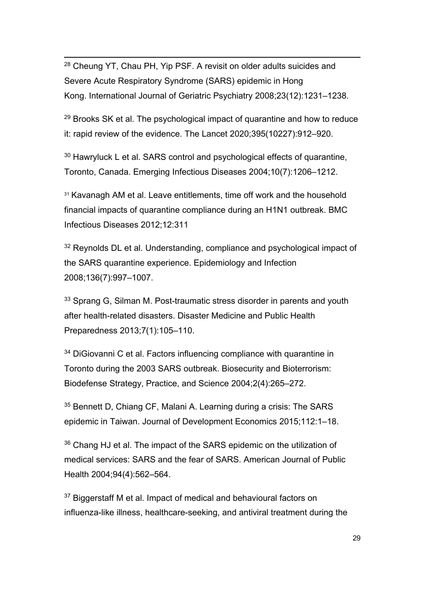<span id="page-30-7"></span><span id="page-30-0"></span> 28 Cheung YT, Chau PH, Yip PSF. A revisit on older adults suicides and Severe Acute Respiratory Syndrome (SARS) epidemic in Hong Kong. International Journal of Geriatric Psychiatry 2008;23(12):1231–1238.

<span id="page-30-1"></span> $29$  Brooks SK et al. The psychological impact of quarantine and how to reduce it: rapid review of the evidence. The Lancet 2020;395(10227):912–920.

<span id="page-30-2"></span><sup>30</sup> Hawryluck L et al. SARS control and psychological effects of quarantine, Toronto, Canada. Emerging Infectious Diseases 2004;10(7):1206–1212.

<span id="page-30-3"></span><sup>31</sup> Kavanagh AM et al. Leave entitlements, time off work and the household financial impacts of quarantine compliance during an H1N1 outbreak. BMC Infectious Diseases 2012;12:311

<span id="page-30-4"></span><sup>32</sup> Reynolds DL et al. Understanding, compliance and psychological impact of the SARS quarantine experience. Epidemiology and Infection 2008;136(7):997–1007.

<span id="page-30-5"></span><sup>33</sup> Sprang G, Silman M. Post-traumatic stress disorder in parents and youth after health-related disasters. Disaster Medicine and Public Health Preparedness 2013;7(1):105–110.

<span id="page-30-6"></span><sup>34</sup> DiGiovanni C et al. Factors influencing compliance with quarantine in Toronto during the 2003 SARS outbreak. Biosecurity and Bioterrorism: Biodefense Strategy, Practice, and Science 2004;2(4):265–272.

<span id="page-30-8"></span><sup>35</sup> Bennett D, Chiang CF, Malani A. Learning during a crisis: The SARS epidemic in Taiwan. Journal of Development Economics 2015;112:1–18.

<span id="page-30-9"></span><sup>36</sup> Chang HJ et al. The impact of the SARS epidemic on the utilization of medical services: SARS and the fear of SARS. American Journal of Public Health 2004;94(4):562–564.

<span id="page-30-10"></span><sup>37</sup> Biggerstaff M et al. Impact of medical and behavioural factors on influenza-like illness, healthcare-seeking, and antiviral treatment during the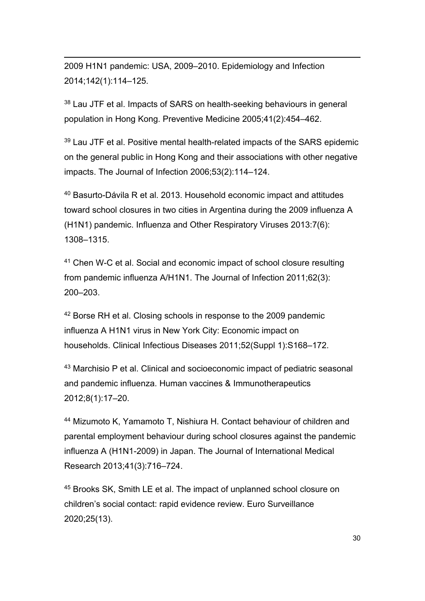-2009 H1N1 pandemic: USA, 2009–2010. Epidemiology and Infection 2014;142(1):114–125.

<span id="page-31-0"></span><sup>38</sup> Lau JTF et al. Impacts of SARS on health-seeking behaviours in general population in Hong Kong. Preventive Medicine 2005;41(2):454–462.

<span id="page-31-1"></span><sup>39</sup> Lau JTF et al. Positive mental health-related impacts of the SARS epidemic on the general public in Hong Kong and their associations with other negative impacts. The Journal of Infection 2006;53(2):114–124.

<span id="page-31-2"></span><sup>40</sup> Basurto-Dávila R et al. 2013. Household economic impact and attitudes toward school closures in two cities in Argentina during the 2009 influenza A (H1N1) pandemic. Influenza and Other Respiratory Viruses 2013:7(6): 1308–1315.

<span id="page-31-3"></span><sup>41</sup> Chen W-C et al. Social and economic impact of school closure resulting from pandemic influenza A/H1N1. The Journal of Infection 2011;62(3): 200–203.

<span id="page-31-4"></span><sup>42</sup> Borse RH et al. Closing schools in response to the 2009 pandemic influenza A H1N1 virus in New York City: Economic impact on households. Clinical Infectious Diseases 2011;52(Suppl 1):S168–172.

<span id="page-31-5"></span><sup>43</sup> Marchisio P et al. Clinical and socioeconomic impact of pediatric seasonal and pandemic influenza. Human vaccines & Immunotherapeutics 2012;8(1):17–20.

<span id="page-31-6"></span><sup>44</sup> Mizumoto K, Yamamoto T, Nishiura H. Contact behaviour of children and parental employment behaviour during school closures against the pandemic influenza A (H1N1-2009) in Japan. The Journal of International Medical Research 2013;41(3):716–724.

<span id="page-31-7"></span><sup>45</sup> Brooks SK, Smith LE et al. The impact of unplanned school closure on children's social contact: rapid evidence review. Euro Surveillance 2020;25(13).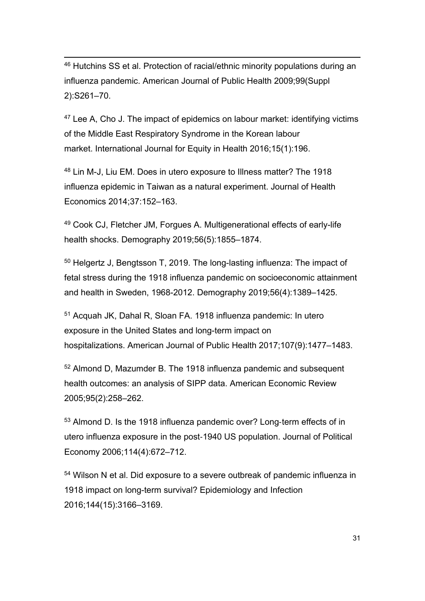<span id="page-32-0"></span> 46 Hutchins SS et al. Protection of racial/ethnic minority populations during an influenza pandemic. American Journal of Public Health 2009;99(Suppl 2):S261–70.

<span id="page-32-1"></span><sup>47</sup> Lee A, Cho J. The impact of epidemics on labour market: identifying victims of the Middle East Respiratory Syndrome in the Korean labour market. International Journal for Equity in Health 2016;15(1):196.

<span id="page-32-2"></span><sup>48</sup> Lin M-J, Liu EM. Does in utero exposure to Illness matter? The 1918 influenza epidemic in Taiwan as a natural experiment. Journal of Health Economics 2014;37:152–163.

<span id="page-32-3"></span><sup>49</sup> Cook CJ, Fletcher JM, Forgues A. Multigenerational effects of early-life health shocks. Demography 2019;56(5):1855–1874.

<span id="page-32-4"></span><sup>50</sup> Helgertz J, Bengtsson T, 2019. The long-lasting influenza: The impact of fetal stress during the 1918 influenza pandemic on socioeconomic attainment and health in Sweden, 1968-2012. Demography 2019;56(4):1389–1425.

<span id="page-32-5"></span><sup>51</sup> Acquah JK, Dahal R, Sloan FA. 1918 influenza pandemic: In utero exposure in the United States and long-term impact on hospitalizations. American Journal of Public Health 2017;107(9):1477–1483.

<span id="page-32-6"></span><sup>52</sup> Almond D, Mazumder B. The 1918 influenza pandemic and subsequent health outcomes: an analysis of SIPP data. American Economic Review 2005;95(2):258–262.

<span id="page-32-7"></span>53 Almond D. Is the 1918 influenza pandemic over? Long-term effects of in utero influenza exposure in the post‐1940 US population. Journal of Political Economy 2006;114(4):672–712.

<span id="page-32-8"></span><sup>54</sup> Wilson N et al. Did exposure to a severe outbreak of pandemic influenza in 1918 impact on long-term survival? Epidemiology and Infection 2016;144(15):3166–3169.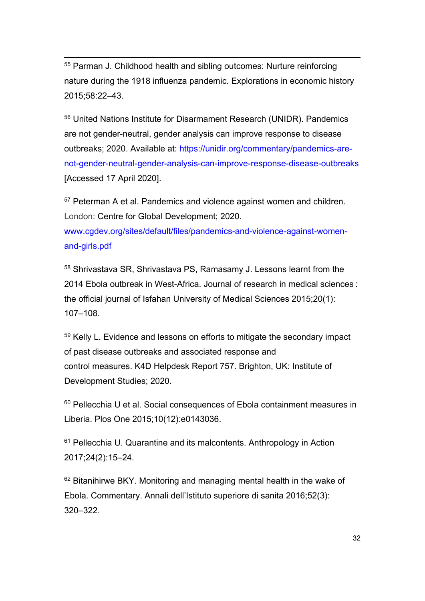<span id="page-33-0"></span> 55 Parman J. Childhood health and sibling outcomes: Nurture reinforcing nature during the 1918 influenza pandemic. Explorations in economic history 2015;58:22–43.

<span id="page-33-1"></span><sup>56</sup> United Nations Institute for Disarmament Research (UNIDR). Pandemics are not gender-neutral, gender analysis can improve response to disease outbreaks; 2020. Available at: [https://unidir.org/commentary/pandemics-are](https://unidir.org/commentary/pandemics-are-not-gender-neutral-gender-analysis-can-improve-response-disease-outbreaks)[not-gender-neutral-gender-analysis-can-improve-response-disease-outbreaks](https://unidir.org/commentary/pandemics-are-not-gender-neutral-gender-analysis-can-improve-response-disease-outbreaks) [Accessed 17 April 2020].

<span id="page-33-2"></span><sup>57</sup> Peterman A et al. Pandemics and violence against women and children. London: Centre for Global Development; 2020. [www.cgdev.org/sites/default/files/pandemics-and-violence-against-women-](https://www.cgdev.org/sites/default/files/pandemics-and-violence-against-women-and-girls.pdf)

[and-girls.pdf](https://www.cgdev.org/sites/default/files/pandemics-and-violence-against-women-and-girls.pdf)

<span id="page-33-3"></span><sup>58</sup> Shrivastava SR, Shrivastava PS, Ramasamy J. Lessons learnt from the 2014 Ebola outbreak in West-Africa. Journal of research in medical sciences : the official journal of Isfahan University of Medical Sciences 2015;20(1): 107–108.

<span id="page-33-4"></span><sup>59</sup> Kelly L. Evidence and lessons on efforts to mitigate the secondary impact of past disease outbreaks and associated response and control measures. K4D Helpdesk Report 757. Brighton, UK: Institute of Development Studies; 2020.

<span id="page-33-5"></span><sup>60</sup> Pellecchia U et al. Social consequences of Ebola containment measures in Liberia. Plos One 2015;10(12):e0143036.

<span id="page-33-6"></span><sup>61</sup> Pellecchia U. Quarantine and its malcontents. Anthropology in Action 2017;24(2):15–24.

<span id="page-33-7"></span><sup>62</sup> Bitanihirwe BKY. Monitoring and managing mental health in the wake of Ebola. Commentary. Annali dell'Istituto superiore di sanita 2016;52(3): 320–322.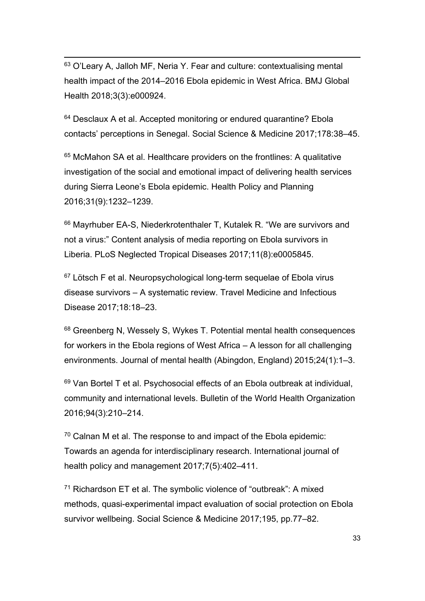<span id="page-34-0"></span> 63 O'Leary A, Jalloh MF, Neria Y. Fear and culture: contextualising mental health impact of the 2014–2016 Ebola epidemic in West Africa. BMJ Global Health 2018;3(3):e000924.

<span id="page-34-1"></span><sup>64</sup> Desclaux A et al. Accepted monitoring or endured quarantine? Ebola contacts' perceptions in Senegal. Social Science & Medicine 2017;178:38–45.

<span id="page-34-2"></span><sup>65</sup> McMahon SA et al. Healthcare providers on the frontlines: A qualitative investigation of the social and emotional impact of delivering health services during Sierra Leone's Ebola epidemic. Health Policy and Planning 2016;31(9):1232–1239.

<span id="page-34-3"></span><sup>66</sup> Mayrhuber EA-S, Niederkrotenthaler T, Kutalek R. "We are survivors and not a virus:" Content analysis of media reporting on Ebola survivors in Liberia. PLoS Neglected Tropical Diseases 2017;11(8):e0005845.

<span id="page-34-4"></span><sup>67</sup> Lötsch F et al. Neuropsychological long-term sequelae of Ebola virus disease survivors – A systematic review. Travel Medicine and Infectious Disease 2017;18:18–23.

<span id="page-34-5"></span><sup>68</sup> Greenberg N, Wessely S, Wykes T. Potential mental health consequences for workers in the Ebola regions of West Africa – A lesson for all challenging environments. Journal of mental health (Abingdon, England) 2015;24(1):1–3.

<span id="page-34-6"></span><sup>69</sup> Van Bortel T et al. Psychosocial effects of an Ebola outbreak at individual, community and international levels. Bulletin of the World Health Organization 2016;94(3):210–214.

<span id="page-34-7"></span> $70$  Calnan M et al. The response to and impact of the Ebola epidemic: Towards an agenda for interdisciplinary research. International journal of health policy and management 2017;7(5):402–411.

<span id="page-34-8"></span> $71$  Richardson ET et al. The symbolic violence of "outbreak": A mixed methods, quasi-experimental impact evaluation of social protection on Ebola survivor wellbeing. Social Science & Medicine 2017;195, pp.77–82.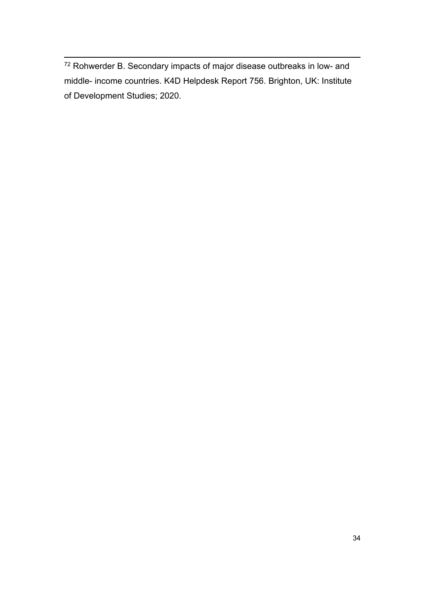<span id="page-35-0"></span><sup>72</sup> Rohwerder B. Secondary impacts of major disease outbreaks in low- and middle- income countries. K4D Helpdesk Report 756. Brighton, UK: Institute of Development Studies; 2020.